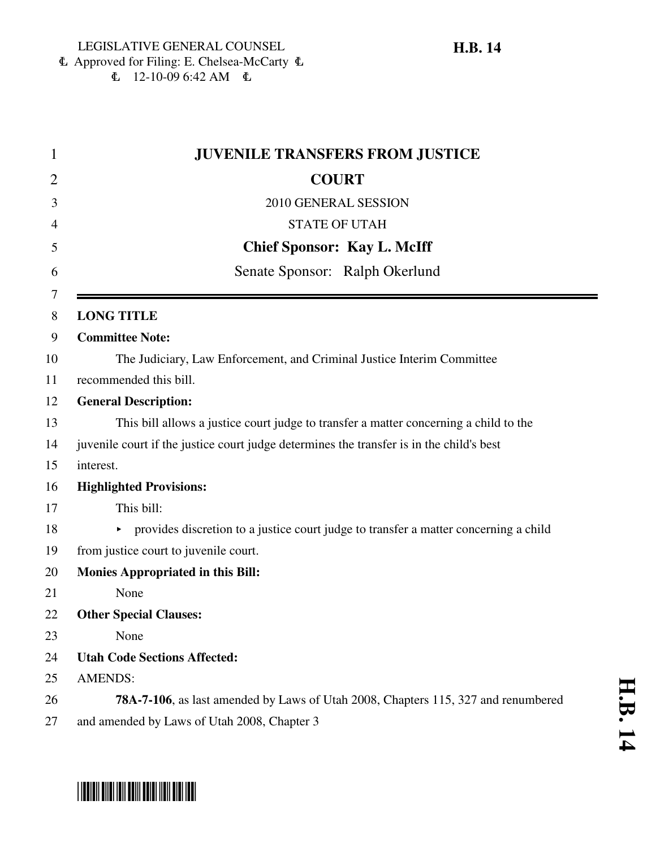\*HB0014\*

6 Approved for Filing: E. Chelsea-McCarty 6  $\text{L}$  12-10-09 6:42 AM  $\text{L}$ 

| $\mathbf 1$    | <b>JUVENILE TRANSFERS FROM JUSTICE</b>                                                    |
|----------------|-------------------------------------------------------------------------------------------|
| $\overline{2}$ | <b>COURT</b>                                                                              |
| 3              | 2010 GENERAL SESSION                                                                      |
| 4              | <b>STATE OF UTAH</b>                                                                      |
| 5              | <b>Chief Sponsor: Kay L. McIff</b>                                                        |
| 6              | Senate Sponsor: Ralph Okerlund                                                            |
| 7<br>8         | <b>LONG TITLE</b>                                                                         |
| 9              | <b>Committee Note:</b>                                                                    |
| 10             | The Judiciary, Law Enforcement, and Criminal Justice Interim Committee                    |
| 11             | recommended this bill.                                                                    |
| 12             | <b>General Description:</b>                                                               |
| 13             | This bill allows a justice court judge to transfer a matter concerning a child to the     |
| 14             | juvenile court if the justice court judge determines the transfer is in the child's best  |
| 15             | interest.                                                                                 |
| 16             | <b>Highlighted Provisions:</b>                                                            |
| 17             | This bill:                                                                                |
| 18             | • provides discretion to a justice court judge to transfer a matter concerning a child    |
| 19             | from justice court to juvenile court.                                                     |
| 20             | <b>Monies Appropriated in this Bill:</b>                                                  |
| 21             | None                                                                                      |
| 22             | <b>Other Special Clauses:</b>                                                             |
| 23             | None                                                                                      |
| 24             | <b>Utah Code Sections Affected:</b>                                                       |
| 25             | <b>AMENDS:</b>                                                                            |
| 26             | <b>78A-7-106</b> , as last amended by Laws of Utah 2008, Chapters 115, 327 and renumbered |
| 27             | and amended by Laws of Utah 2008, Chapter 3                                               |

# **H.B. 14**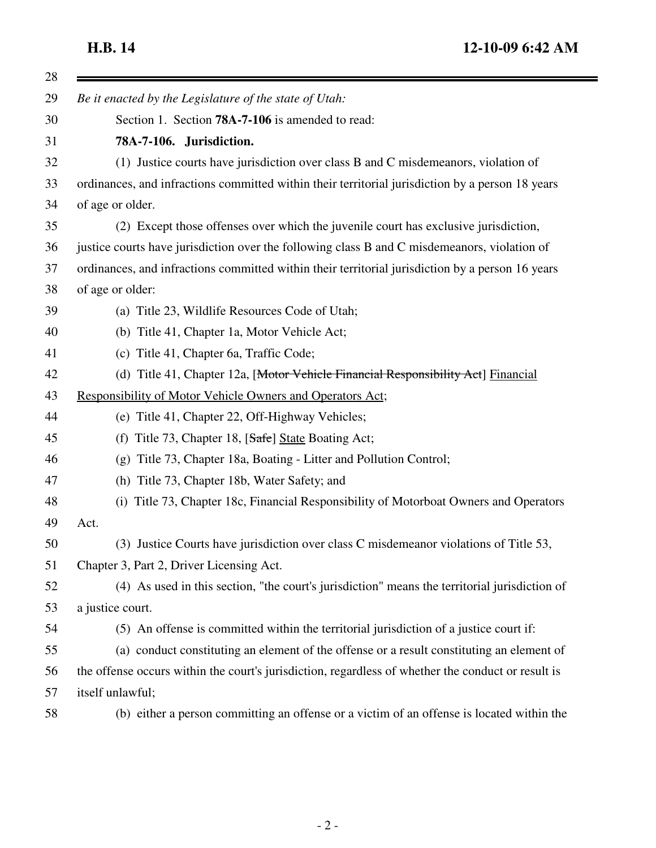$\equiv$ 

| 28 |                                                                                                    |
|----|----------------------------------------------------------------------------------------------------|
| 29 | Be it enacted by the Legislature of the state of Utah:                                             |
| 30 | Section 1. Section <b>78A-7-106</b> is amended to read:                                            |
| 31 | 78A-7-106. Jurisdiction.                                                                           |
| 32 | (1) Justice courts have jurisdiction over class B and C misdemeanors, violation of                 |
| 33 | ordinances, and infractions committed within their territorial jurisdiction by a person 18 years   |
| 34 | of age or older.                                                                                   |
| 35 | (2) Except those offenses over which the juvenile court has exclusive jurisdiction,                |
| 36 | justice courts have jurisdiction over the following class B and C misdemeanors, violation of       |
| 37 | ordinances, and infractions committed within their territorial jurisdiction by a person 16 years   |
| 38 | of age or older:                                                                                   |
| 39 | (a) Title 23, Wildlife Resources Code of Utah;                                                     |
| 40 | (b) Title 41, Chapter 1a, Motor Vehicle Act;                                                       |
| 41 | (c) Title 41, Chapter 6a, Traffic Code;                                                            |
| 42 | (d) Title 41, Chapter 12a, [Motor Vehicle Financial Responsibility Act] Financial                  |
| 43 | Responsibility of Motor Vehicle Owners and Operators Act;                                          |
| 44 | (e) Title 41, Chapter 22, Off-Highway Vehicles;                                                    |
| 45 | Title 73, Chapter 18, [Safe] State Boating Act;<br>(f)                                             |
| 46 | Title 73, Chapter 18a, Boating - Litter and Pollution Control;<br>(g)                              |
| 47 | (h) Title 73, Chapter 18b, Water Safety; and                                                       |
| 48 | (i) Title 73, Chapter 18c, Financial Responsibility of Motorboat Owners and Operators              |
| 49 | Act.                                                                                               |
| 50 | (3) Justice Courts have jurisdiction over class C misdemeanor violations of Title 53,              |
| 51 | Chapter 3, Part 2, Driver Licensing Act.                                                           |
| 52 | (4) As used in this section, "the court's jurisdiction" means the territorial jurisdiction of      |
| 53 | a justice court.                                                                                   |
| 54 | (5) An offense is committed within the territorial jurisdiction of a justice court if:             |
| 55 | (a) conduct constituting an element of the offense or a result constituting an element of          |
| 56 | the offense occurs within the court's jurisdiction, regardless of whether the conduct or result is |
| 57 | itself unlawful;                                                                                   |
| 58 | (b) either a person committing an offense or a victim of an offense is located within the          |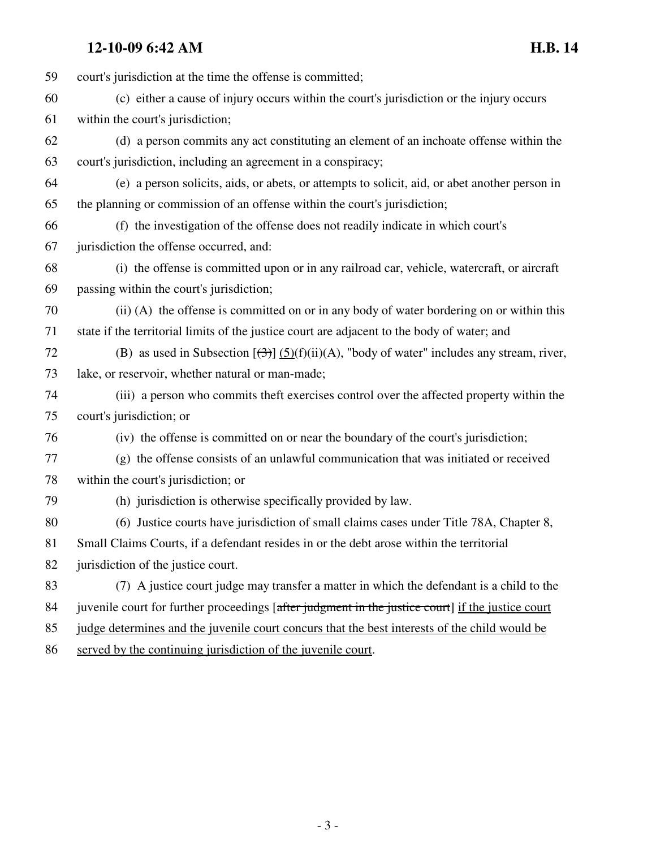# **12-10-09 6:42 AM H.B. 14**

59 court's jurisdiction at the time the offense is committed; 60 (c) either a cause of injury occurs within the court's jurisdiction or the injury occurs 61 within the court's jurisdiction; 62 (d) a person commits any act constituting an element of an inchoate offense within the 63 court's jurisdiction, including an agreement in a conspiracy; 64 (e) a person solicits, aids, or abets, or attempts to solicit, aid, or abet another person in 65 the planning or commission of an offense within the court's jurisdiction; 66 (f) the investigation of the offense does not readily indicate in which court's 67 jurisdiction the offense occurred, and: 68 (i) the offense is committed upon or in any railroad car, vehicle, watercraft, or aircraft 69 passing within the court's jurisdiction; 70 (ii) (A) the offense is committed on or in any body of water bordering on or within this 71 state if the territorial limits of the justice court are adjacent to the body of water; and 72 (B) as used in Subsection  $[\frac{(3)}{(5)}(f)(ii)(A))$ , "body of water" includes any stream, river, 73 lake, or reservoir, whether natural or man-made; 74 (iii) a person who commits theft exercises control over the affected property within the 75 court's jurisdiction; or 76 (iv) the offense is committed on or near the boundary of the court's jurisdiction; 77 (g) the offense consists of an unlawful communication that was initiated or received 78 within the court's jurisdiction; or 79 (h) jurisdiction is otherwise specifically provided by law. 80 (6) Justice courts have jurisdiction of small claims cases under Title 78A, Chapter 8, 81 Small Claims Courts, if a defendant resides in or the debt arose within the territorial 82 jurisdiction of the justice court. 83 (7) A justice court judge may transfer a matter in which the defendant is a child to the 84 juven ille court for further proceedings [after judgment in the justice court] if the justice court 85 judge determines and the juvenile court concurs that the best interests of the child would be

86 served by the continuing jurisdiction of the juvenile court.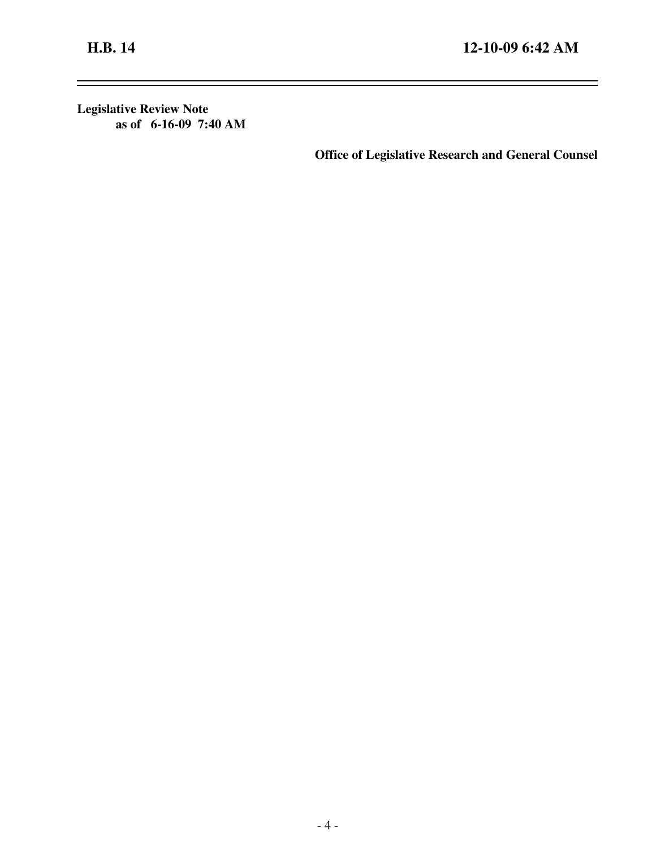$\overline{\phantom{0}}$ 

 $\equiv$ 

**Legislative Review Note as of 6-16-09 7:40 AM**

**Office of Legislative Research and General Counsel**